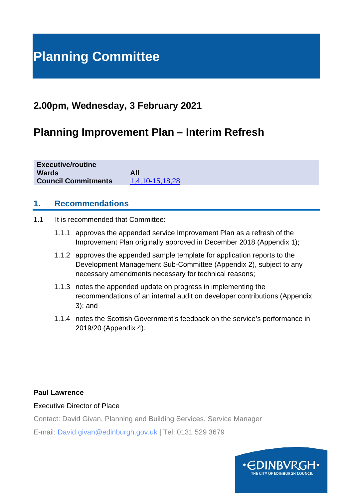# **Planning Committee**

## **2.00pm, Wednesday, 3 February 2021**

# **Planning Improvement Plan – Interim Refresh**

**Executive/routine Wards All**<br>**Council Commitments 1.4.10-15.18.28 Council Commitments** 

### **1. Recommendations**

- 1.1 It is recommended that Committee:
	- 1.1.1 approves the appended service Improvement Plan as a refresh of the Improvement Plan originally approved in December 2018 (Appendix 1);
	- 1.1.2 approves the appended sample template for application reports to the Development Management Sub-Committee (Appendix 2), subject to any necessary amendments necessary for technical reasons;
	- 1.1.3 notes the appended update on progress in implementing the recommendations of an internal audit on developer contributions (Appendix 3); and
	- 1.1.4 notes the Scottish Government's feedback on the service's performance in 2019/20 (Appendix 4).

#### **Paul Lawrence**

Executive Director of Place

Contact: David Givan, Planning and Building Services, Service Manager

E-mail: David.givan@edinburgh.gov.uk | Tel: 0131 529 3679

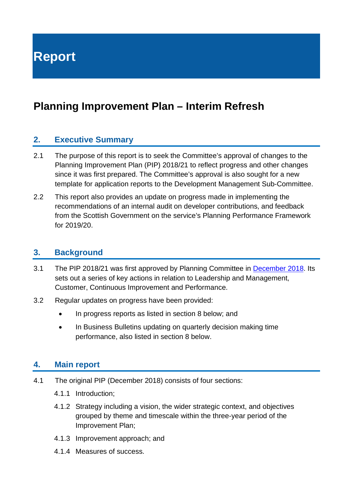**Report**

# **Planning Improvement Plan – Interim Refresh**

### **2. Executive Summary**

- 2.1 The purpose of this report is to seek the Committee's approval of changes to the Planning Improvement Plan (PIP) 2018/21 to reflect progress and other changes since it was first prepared. The Committee's approval is also sought for a new template for application reports to the Development Management Sub-Committee.
- 2.2 This report also provides an update on progress made in implementing the recommendations of an internal audit on developer contributions, and feedback from the Scottish Government on the service's Planning Performance Framework for 2019/20.

### **3. Background**

- 3.1 The PIP 2018/21 was first approved by Planning Committee in [December 2018.](http://www.edinburgh.gov.uk/download/meetings/id/59498/item_81_-_planning_and_building_standards_improvement_plan) Its sets out a series of key actions in relation to Leadership and Management, Customer, Continuous Improvement and Performance.
- 3.2 Regular updates on progress have been provided:
	- In progress reports as listed in section 8 below; and
	- In Business Bulletins updating on quarterly decision making time performance, also listed in section 8 below.

### **4. Main report**

- 4.1 The original PIP (December 2018) consists of four sections:
	- 4.1.1 Introduction;
	- 4.1.2 Strategy including a vision, the wider strategic context, and objectives grouped by theme and timescale within the three-year period of the Improvement Plan;
	- 4.1.3 Improvement approach; and
	- 4.1.4 Measures of success.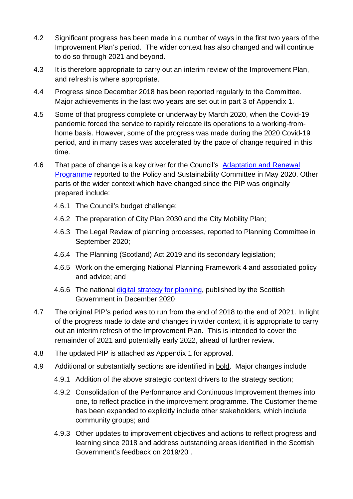- 4.2 Significant progress has been made in a number of ways in the first two years of the Improvement Plan's period. The wider context has also changed and will continue to do so through 2021 and beyond.
- 4.3 It is therefore appropriate to carry out an interim review of the Improvement Plan, and refresh is where appropriate.
- 4.4 Progress since December 2018 has been reported regularly to the Committee. Major achievements in the last two years are set out in part 3 of Appendix 1.
- 4.5 Some of that progress complete or underway by March 2020, when the Covid-19 pandemic forced the service to rapidly relocate its operations to a working-fromhome basis. However, some of the progress was made during the 2020 Covid-19 period, and in many cases was accelerated by the pace of change required in this time.
- 4.6 That pace of change is a key driver for the Council's Adaptation and Renewal [Programme](https://democracy.edinburgh.gov.uk/documents/s24153/6.1%20-%20Adaptation%20and%20Renewal%20Programme%20V2.pdf) reported to the Policy and Sustainability Committee in May 2020. Other parts of the wider context which have changed since the PIP was originally prepared include:
	- 4.6.1 The Council's budget challenge;
	- 4.6.2 The preparation of City Plan 2030 and the City Mobility Plan;
	- 4.6.3 The Legal Review of planning processes, reported to Planning Committee in September 2020;
	- 4.6.4 The Planning (Scotland) Act 2019 and its secondary legislation;
	- 4.6.5 Work on the emerging National Planning Framework 4 and associated policy and advice; and
	- 4.6.6 The national [digital strategy for planning,](https://www.transformingplanning.scot/digital-planning/scotlands-digital-strategy-for-planning/) published by the Scottish Government in December 2020
- 4.7 The original PIP's period was to run from the end of 2018 to the end of 2021. In light of the progress made to date and changes in wider context, it is appropriate to carry out an interim refresh of the Improvement Plan. This is intended to cover the remainder of 2021 and potentially early 2022, ahead of further review.
- 4.8 The updated PIP is attached as Appendix 1 for approval.
- 4.9 Additional or substantially sections are identified in bold. Major changes include
	- 4.9.1 Addition of the above strategic context drivers to the strategy section;
	- 4.9.2 Consolidation of the Performance and Continuous Improvement themes into one, to reflect practice in the improvement programme. The Customer theme has been expanded to explicitly include other stakeholders, which include community groups; and
	- 4.9.3 Other updates to improvement objectives and actions to reflect progress and learning since 2018 and address outstanding areas identified in the Scottish Government's feedback on 2019/20 .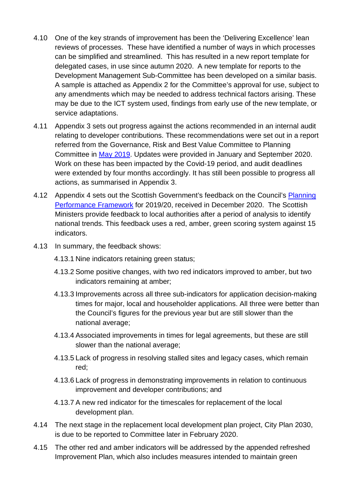- 4.10 One of the key strands of improvement has been the 'Delivering Excellence' lean reviews of processes. These have identified a number of ways in which processes can be simplified and streamlined. This has resulted in a new report template for delegated cases, in use since autumn 2020. A new template for reports to the Development Management Sub-Committee has been developed on a similar basis. A sample is attached as Appendix 2 for the Committee's approval for use, subject to any amendments which may be needed to address technical factors arising. These may be due to the ICT system used, findings from early use of the new template, or service adaptations.
- 4.11 Appendix 3 sets out progress against the actions recommended in an internal audit relating to developer contributions. These recommendations were set out in a report referred from the Governance, Risk and Best Value Committee to Planning Committee in [May 2019.](https://democracy.edinburgh.gov.uk/Data/Planning%20Committee/20190515/Agenda/$item_91_-_internal_audit_quarterly_update_report_26_november_2018_to_29_march_2019_-_referral_from_the_governance_risk_and_be.xls.pdf) Updates were provided in January and September 2020. Work on these has been impacted by the Covid-19 period, and audit deadlines were extended by four months accordingly. It has still been possible to progress all actions, as summarised in Appendix 3.
- 4.12 Appendix 4 sets out the Scottish Government's feedback on the Council's [Planning](https://www.edinburgh.gov.uk/downloads/file/27983/2019-20)  [Performance Framework](https://www.edinburgh.gov.uk/downloads/file/27983/2019-20) for 2019/20, received in December 2020. The Scottish Ministers provide feedback to local authorities after a period of analysis to identify national trends. This feedback uses a red, amber, green scoring system against 15 indicators.
- 4.13 In summary, the feedback shows:
	- 4.13.1 Nine indicators retaining green status;
	- 4.13.2 Some positive changes, with two red indicators improved to amber, but two indicators remaining at amber;
	- 4.13.3 Improvements across all three sub-indicators for application decision-making times for major, local and householder applications. All three were better than the Council's figures for the previous year but are still slower than the national average;
	- 4.13.4 Associated improvements in times for legal agreements, but these are still slower than the national average;
	- 4.13.5 Lack of progress in resolving stalled sites and legacy cases, which remain red;
	- 4.13.6 Lack of progress in demonstrating improvements in relation to continuous improvement and developer contributions; and
	- 4.13.7 A new red indicator for the timescales for replacement of the local development plan.
- 4.14 The next stage in the replacement local development plan project, City Plan 2030, is due to be reported to Committee later in February 2020.
- 4.15 The other red and amber indicators will be addressed by the appended refreshed Improvement Plan, which also includes measures intended to maintain green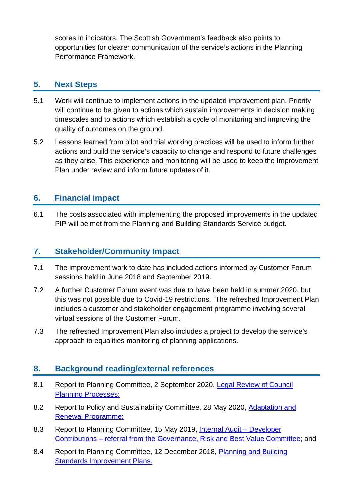scores in indicators. The Scottish Government's feedback also points to opportunities for clearer communication of the service's actions in the Planning Performance Framework.

### **5. Next Steps**

- 5.1 Work will continue to implement actions in the updated improvement plan. Priority will continue to be given to actions which sustain improvements in decision making timescales and to actions which establish a cycle of monitoring and improving the quality of outcomes on the ground.
- 5.2 Lessons learned from pilot and trial working practices will be used to inform further actions and build the service's capacity to change and respond to future challenges as they arise. This experience and monitoring will be used to keep the Improvement Plan under review and inform future updates of it.

### **6. Financial impact**

6.1 The costs associated with implementing the proposed improvements in the updated PIP will be met from the Planning and Building Standards Service budget.

### **7. Stakeholder/Community Impact**

- 7.1 The improvement work to date has included actions informed by Customer Forum sessions held in June 2018 and September 2019.
- 7.2 A further Customer Forum event was due to have been held in summer 2020, but this was not possible due to Covid-19 restrictions. The refreshed Improvement Plan includes a customer and stakeholder engagement programme involving several virtual sessions of the Customer Forum.
- 7.3 The refreshed Improvement Plan also includes a project to develop the service's approach to equalities monitoring of planning applications.

### **8. Background reading/external references**

- 8.1 Report to Planning Committee, 2 September 2020, [Legal Review of Council](https://democracy.edinburgh.gov.uk/documents/s25882/Item%208.3%20-%20Legal%20review%20of%20Council%20Planning%20Processes.pdf)  [Planning Processes;](https://democracy.edinburgh.gov.uk/documents/s25882/Item%208.3%20-%20Legal%20review%20of%20Council%20Planning%20Processes.pdf)
- 8.2 Report to Policy and Sustainability Committee, 28 May 2020, [Adaptation and](https://democracy.edinburgh.gov.uk/documents/s24153/6.1%20-%20Adaptation%20and%20Renewal%20Programme%20V2.pdf)  [Renewal Programme;](https://democracy.edinburgh.gov.uk/documents/s24153/6.1%20-%20Adaptation%20and%20Renewal%20Programme%20V2.pdf)
- 8.3 Report to Planning Committee, 15 May 2019, [Internal Audit –](https://democracy.edinburgh.gov.uk/Data/Planning%20Committee/20190515/Agenda/$item_91_-_internal_audit_quarterly_update_report_26_november_2018_to_29_march_2019_-_referral_from_the_governance_risk_and_be.xls.pdf) Developer Contributions – [referral from the Governance, Risk and Best Value Committee;](https://democracy.edinburgh.gov.uk/Data/Planning%20Committee/20190515/Agenda/$item_91_-_internal_audit_quarterly_update_report_26_november_2018_to_29_march_2019_-_referral_from_the_governance_risk_and_be.xls.pdf) and
- 8.4 Report to Planning Committee, 12 December 2018, [Planning and Building](https://democracy.edinburgh.gov.uk/Data/Planning%20Committee/20181212/Agenda/item_81_-_planning_and_building_standards_improvement_plan.pdf)  [Standards Improvement Plans.](https://democracy.edinburgh.gov.uk/Data/Planning%20Committee/20181212/Agenda/item_81_-_planning_and_building_standards_improvement_plan.pdf)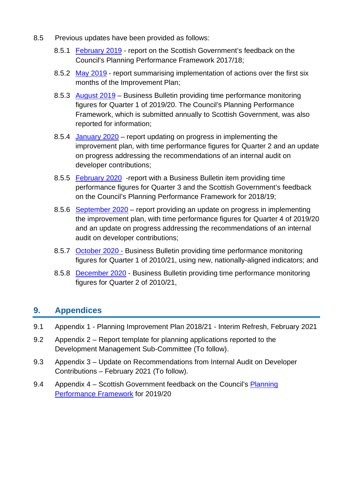- 8.5 Previous updates have been provided as follows:
	- 8.5.1 [February 2019](http://www.edinburgh.gov.uk/download/meetings/id/60055/item_81_-_scottish_government_feedback_on_planning_performance_framework_201718) report on the Scottish Government's feedback on the Council's Planning Performance Framework 2017/18;
	- 8.5.2 [May 2019](https://democracy.edinburgh.gov.uk/Data/Planning%20Committee/20190515/Agenda/item_81_-_planning_improvement_plan_-_progress_update.pdf) report summarising implementation of actions over the first six months of the Improvement Plan;
	- 8.5.3 [August 2019](https://democracy.edinburgh.gov.uk/documents/s4144/5.1%20-%20Planning%20Committee%20Business%20Bulletin.pdf) Business Bulletin providing time performance monitoring figures for Quarter 1 of 2019/20. The Council's Planning Performance Framework, which is submitted annually to Scottish Government, was also reported for information;
	- 8.5.4 [January 2020](https://democracy.edinburgh.gov.uk/documents/s13104/Item%209.1%20-%20Planning%20Improvement%20Plan%20Progress%20Report.pdf) report updating on progress in implementing the improvement plan, with time performance figures for Quarter 2 and an update on progress addressing the recommendations of an internal audit on developer contributions;
	- 8.5.5 [February 2020](https://democracy.edinburgh.gov.uk/documents/s14464/5.1%20Business%20Bulletin.pdf) -report with a Business Bulletin item providing time performance figures for Quarter 3 and the Scottish Government's feedback on the Council's Planning Performance Framework for 2018/19;
	- 8.5.6 [September 2020](https://democracy.edinburgh.gov.uk/documents/s25883/Item%209.1%20-%20Planning%20Improvement%20Plan%20Progress%20Update.pdf) report providing an update on progress in implementing the improvement plan, with time performance figures for Quarter 4 of 2019/20 and an update on progress addressing the recommendations of an internal audit on developer contributions;
	- 8.5.7 [October 2020 -](https://democracy.edinburgh.gov.uk/documents/s28042/Item%205.1%20-%20Business%20Bulletin%20Final.pdf) Business Bulletin providing time performance monitoring figures for Quarter 1 of 2010/21, using new, nationally-aligned indicators; and
	- 8.5.8 [December 2020](https://democracy.edinburgh.gov.uk/documents/s29346/Item%205.1%20-%20Business%20Bulletin.pdf) Business Bulletin providing time performance monitoring figures for Quarter 2 of 2010/21,

### **9. Appendices**

- 9.1 Appendix 1 Planning Improvement Plan 2018/21 Interim Refresh, February 2021
- 9.2 Appendix 2 Report template for planning applications reported to the Development Management Sub-Committee (To follow).
- 9.3 Appendix 3 Update on Recommendations from Internal Audit on Developer Contributions – February 2021 (To follow).
- 9.4 Appendix 4 Scottish Government feedback on the Council's Planning [Performance Framework](https://www.edinburgh.gov.uk/downloads/file/27983/2019-20) for 2019/20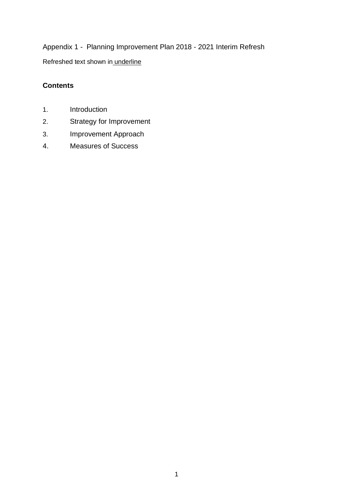Appendix 1 - Planning Improvement Plan 2018 - 2021 Interim Refresh Refreshed text shown in underline

### **Contents**

- 1. Introduction
- 2. Strategy for Improvement
- 3. Improvement Approach
- 4. Measures of Success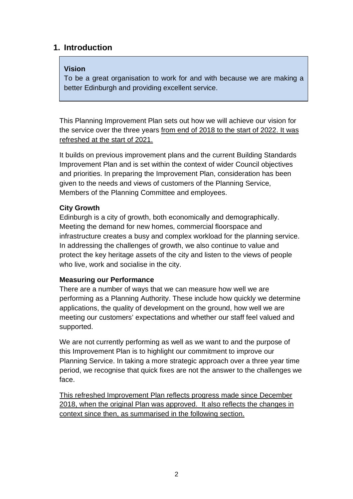### **1. Introduction**

#### **Vision**

To be a great organisation to work for and with because we are making a better Edinburgh and providing excellent service.

This Planning Improvement Plan sets out how we will achieve our vision for the service over the three years from end of 2018 to the start of 2022. It was refreshed at the start of 2021.

It builds on previous improvement plans and the current Building Standards Improvement Plan and is set within the context of wider Council objectives and priorities. In preparing the Improvement Plan, consideration has been given to the needs and views of customers of the Planning Service, Members of the Planning Committee and employees.

### **City Growth**

Edinburgh is a city of growth, both economically and demographically. Meeting the demand for new homes, commercial floorspace and infrastructure creates a busy and complex workload for the planning service. In addressing the challenges of growth, we also continue to value and protect the key heritage assets of the city and listen to the views of people who live, work and socialise in the city.

#### **Measuring our Performance**

There are a number of ways that we can measure how well we are performing as a Planning Authority. These include how quickly we determine applications, the quality of development on the ground, how well we are meeting our customers' expectations and whether our staff feel valued and supported.

We are not currently performing as well as we want to and the purpose of this Improvement Plan is to highlight our commitment to improve our Planning Service. In taking a more strategic approach over a three year time period, we recognise that quick fixes are not the answer to the challenges we face.

This refreshed Improvement Plan reflects progress made since December 2018, when the original Plan was approved. It also reflects the changes in context since then, as summarised in the following section.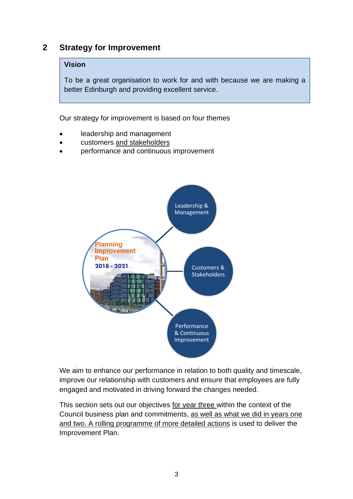### **2 Strategy for Improvement**

#### **Vision**

To be a great organisation to work for and with because we are making a better Edinburgh and providing excellent service.

Our strategy for improvement is based on four themes

- leadership and management
- customers and stakeholders
- performance and continuous improvement



We aim to enhance our performance in relation to both quality and timescale, improve our relationship with customers and ensure that employees are fully engaged and motivated in driving forward the changes needed.

This section sets out our objectives for year three within the context of the Council business plan and commitments, as well as what we did in years one and two. A rolling programme of more detailed actions is used to deliver the Improvement Plan.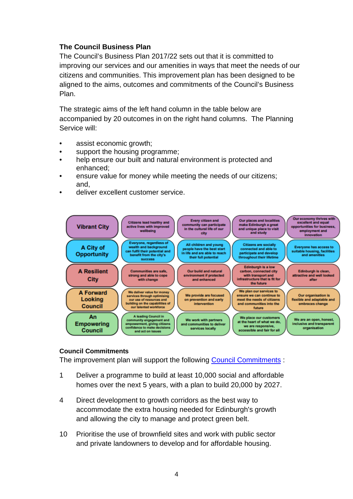#### **The Council Business Plan**

The [Council's Business Plan 2017/22](http://www.edinburgh.gov.uk/downloads/file/9797/council_business_plan_2017-22) sets out that it is committed to improving our services and our amenities in ways that meet the needs of our citizens and communities. This improvement plan has been designed to be aligned to the aims, outcomes and commitments of the Council's Business Plan.

The strategic aims of the left hand column in the table below are accompanied by 20 outcomes in on the right hand columns. The Planning Service will:

- assist economic growth;
- support the housing programme;
- help ensure our built and natural environment is protected and enhanced;
- ensure value for money while meeting the needs of our citizens; and,
- deliver excellent customer service.



#### **Council Commitments**

The improvement plan will support the following [Council Commitments](http://www.edinburgh.gov.uk/info/20141/council_commitments) :

- 1 Deliver a programme to build at least 10,000 social and affordable homes over the next 5 years, with a plan to build 20,000 by 2027.
- 4 Direct development to growth corridors as the best way to accommodate the extra housing needed for Edinburgh's growth and allowing the city to manage and protect green belt.
- 10 Prioritise the use of brownfield sites and work with public sector and private landowners to develop and for affordable housing.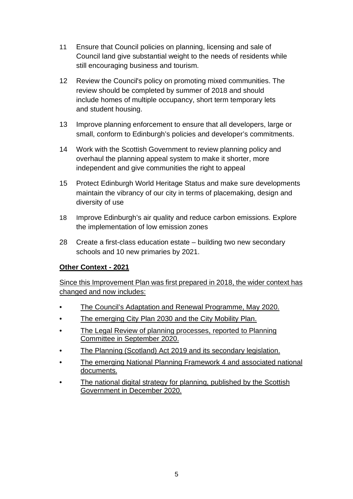- 11 Ensure that Council policies on planning, licensing and sale of Council land give substantial weight to the needs of residents while still encouraging business and tourism.
- 12 Review the Council's policy on promoting mixed communities. The review should be completed by summer of 2018 and should include homes of multiple occupancy, short term temporary lets and student housing.
- 13 Improve planning enforcement to ensure that all developers, large or small, conform to Edinburgh's policies and developer's commitments.
- 14 Work with the Scottish Government to review planning policy and overhaul the planning appeal system to make it shorter, more independent and give communities the right to appeal
- 15 Protect Edinburgh World Heritage Status and make sure developments maintain the vibrancy of our city in terms of placemaking, design and diversity of use
- 18 Improve Edinburgh's air quality and reduce carbon emissions. Explore the implementation of low emission zones
- 28 Create a first-class education estate building two new secondary schools and 10 new primaries by 2021.

#### **Other Context - 2021**

Since this Improvement Plan was first prepared in 2018, the wider context has changed and now includes:

- The Council's Adaptation and Renewal Programme, May 2020.
- The emerging City Plan 2030 and the City Mobility Plan.
- The Legal Review of planning processes, reported to Planning Committee in September 2020.
- The Planning (Scotland) Act 2019 and its secondary legislation.
- The emerging National Planning Framework 4 and associated national documents.
- The national digital strategy for planning, published by the Scottish Government in December 2020.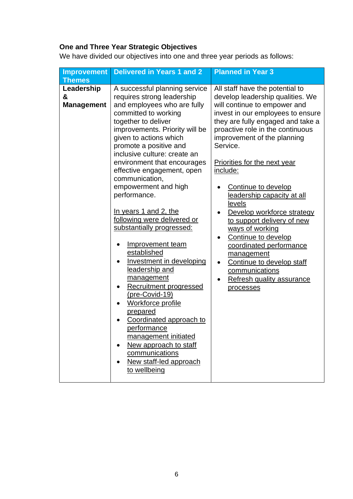## **One and Three Year Strategic Objectives**

We have divided our objectives into one and three year periods as follows:

| Leadership<br>A successful planning service<br>All staff have the potential to<br>develop leadership qualities. We<br>&<br>requires strong leadership<br>and employees who are fully<br><b>Management</b><br>will continue to empower and<br>invest in our employees to ensure<br>committed to working<br>they are fully engaged and take a<br>together to deliver<br>proactive role in the continuous<br>improvements. Priority will be<br>given to actions which<br>improvement of the planning<br>promote a positive and<br>Service.<br>inclusive culture: create an<br>environment that encourages<br><b>Priorities for the next year</b><br>include:<br>effective engagement, open<br>communication,<br>empowerment and high<br>Continue to develop<br>performance.<br>leadership capacity at all<br>levels<br>In years 1 and 2, the<br>Develop workforce strategy<br>following were delivered or<br>to support delivery of new<br>substantially progressed:<br>ways of working<br>Continue to develop<br>Improvement team<br>coordinated performance<br>established<br>management<br>Investment in developing<br>Continue to develop staff<br>$\bullet$<br>leadership and<br>communications<br>management<br>Refresh quality assurance<br>Recruitment progressed<br>processes<br>(pre-Covid-19)<br><b>Workforce profile</b><br><u>prepared</u><br>Coordinated approach to<br>performance<br>management initiated<br>New approach to staff<br>$\bullet$<br>communications<br>New staff-led approach | <b>Improvement</b> | <b>Delivered in Years 1 and 2</b> | <b>Planned in Year 3</b> |
|----------------------------------------------------------------------------------------------------------------------------------------------------------------------------------------------------------------------------------------------------------------------------------------------------------------------------------------------------------------------------------------------------------------------------------------------------------------------------------------------------------------------------------------------------------------------------------------------------------------------------------------------------------------------------------------------------------------------------------------------------------------------------------------------------------------------------------------------------------------------------------------------------------------------------------------------------------------------------------------------------------------------------------------------------------------------------------------------------------------------------------------------------------------------------------------------------------------------------------------------------------------------------------------------------------------------------------------------------------------------------------------------------------------------------------------------------------------------------------------------------------|--------------------|-----------------------------------|--------------------------|
|                                                                                                                                                                                                                                                                                                                                                                                                                                                                                                                                                                                                                                                                                                                                                                                                                                                                                                                                                                                                                                                                                                                                                                                                                                                                                                                                                                                                                                                                                                          | <b>Themes</b>      | to wellbeing                      |                          |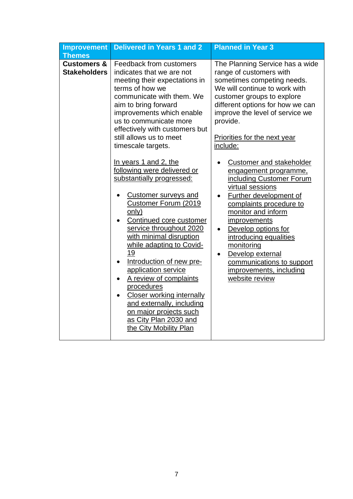| <b>Improvement</b>                            | <b>Delivered in Years 1 and 2</b>                                                                                                                                                                                                                                                                                                                                                                                                                                                                                                                                                                                                                                                                                                                                                                                                                                      | <b>Planned in Year 3</b>                                                                                                                                                                                                                                                                                                                                                                                                                                                                                                                                                                                                                                                             |
|-----------------------------------------------|------------------------------------------------------------------------------------------------------------------------------------------------------------------------------------------------------------------------------------------------------------------------------------------------------------------------------------------------------------------------------------------------------------------------------------------------------------------------------------------------------------------------------------------------------------------------------------------------------------------------------------------------------------------------------------------------------------------------------------------------------------------------------------------------------------------------------------------------------------------------|--------------------------------------------------------------------------------------------------------------------------------------------------------------------------------------------------------------------------------------------------------------------------------------------------------------------------------------------------------------------------------------------------------------------------------------------------------------------------------------------------------------------------------------------------------------------------------------------------------------------------------------------------------------------------------------|
| <b>Themes</b>                                 |                                                                                                                                                                                                                                                                                                                                                                                                                                                                                                                                                                                                                                                                                                                                                                                                                                                                        |                                                                                                                                                                                                                                                                                                                                                                                                                                                                                                                                                                                                                                                                                      |
| <b>Customers &amp;</b><br><b>Stakeholders</b> | Feedback from customers<br>indicates that we are not<br>meeting their expectations in<br>terms of how we<br>communicate with them. We<br>aim to bring forward<br>improvements which enable<br>us to communicate more<br>effectively with customers but<br>still allows us to meet<br>timescale targets.<br>In years 1 and 2, the<br>following were delivered or<br>substantially progressed:<br><b>Customer surveys and</b><br>$\bullet$<br>Customer Forum (2019<br><u>only)</u><br>Continued core customer<br>service throughout 2020<br>with minimal disruption<br>while adapting to Covid-<br>19<br>Introduction of new pre-<br>application service<br>A review of complaints<br>$\bullet$<br>procedures<br><b>Closer working internally</b><br>$\bullet$<br>and externally, including<br>on major projects such<br>as City Plan 2030 and<br>the City Mobility Plan | The Planning Service has a wide<br>range of customers with<br>sometimes competing needs.<br>We will continue to work with<br>customer groups to explore<br>different options for how we can<br>improve the level of service we<br>provide.<br>Priorities for the next year<br>include:<br>Customer and stakeholder<br>engagement programme,<br>including Customer Forum<br>virtual sessions<br><b>Further development of</b><br>complaints procedure to<br>monitor and inform<br>improvements<br>Develop options for<br>$\bullet$<br>introducing equalities<br>monitoring<br>Develop external<br>$\bullet$<br>communications to support<br>improvements, including<br>website review |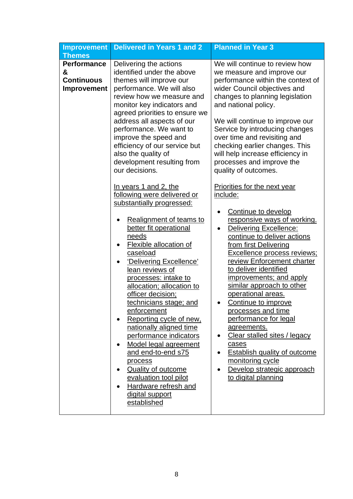| <b>Improvement</b>                                                 | <b>Delivered in Years 1 and 2</b>                                                                                                                                                                                                                                                                                                                                                                                                                                                                                                                                                                                                                                                             | <b>Planned in Year 3</b>                                                                                                                                                                                                                                                                                                                                                                                                                                                                                                                                                                                               |  |  |  |  |
|--------------------------------------------------------------------|-----------------------------------------------------------------------------------------------------------------------------------------------------------------------------------------------------------------------------------------------------------------------------------------------------------------------------------------------------------------------------------------------------------------------------------------------------------------------------------------------------------------------------------------------------------------------------------------------------------------------------------------------------------------------------------------------|------------------------------------------------------------------------------------------------------------------------------------------------------------------------------------------------------------------------------------------------------------------------------------------------------------------------------------------------------------------------------------------------------------------------------------------------------------------------------------------------------------------------------------------------------------------------------------------------------------------------|--|--|--|--|
| <b>Themes</b>                                                      |                                                                                                                                                                                                                                                                                                                                                                                                                                                                                                                                                                                                                                                                                               |                                                                                                                                                                                                                                                                                                                                                                                                                                                                                                                                                                                                                        |  |  |  |  |
| <b>Performance</b><br>&<br><b>Continuous</b><br><b>Improvement</b> | Delivering the actions<br>identified under the above<br>themes will improve our<br>performance. We will also<br>review how we measure and<br>monitor key indicators and<br>agreed priorities to ensure we<br>address all aspects of our<br>performance. We want to<br>improve the speed and<br>efficiency of our service but<br>also the quality of<br>development resulting from<br>our decisions.                                                                                                                                                                                                                                                                                           | We will continue to review how<br>we measure and improve our<br>performance within the context of<br>wider Council objectives and<br>changes to planning legislation<br>and national policy.<br>We will continue to improve our<br>Service by introducing changes<br>over time and revisiting and<br>checking earlier changes. This<br>will help increase efficiency in<br>processes and improve the<br>quality of outcomes.                                                                                                                                                                                           |  |  |  |  |
|                                                                    | In years 1 and 2, the<br>following were delivered or<br>substantially progressed:<br>Realignment of teams to<br>better fit operational<br>needs<br><b>Flexible allocation of</b><br>٠<br>caseload<br>'Delivering Excellence'<br>$\bullet$<br>lean reviews of<br>processes: intake to<br>allocation; allocation to<br>officer decision;<br>technicians stage; and<br>enforcement<br>Reporting cycle of new,<br>$\bullet$<br>nationally aligned time<br>performance indicators<br>Model legal agreement<br>$\bullet$<br>and end-to-end s75<br>process<br><b>Quality of outcome</b><br>$\bullet$<br>evaluation tool pilot<br>Hardware refresh and<br>$\bullet$<br>digital support<br>established | Priorities for the next year<br>include:<br>Continue to develop<br>responsive ways of working.<br>Delivering Excellence:<br>continue to deliver actions<br>from first Delivering<br><b>Excellence process reviews;</b><br>review Enforcement charter<br>to deliver identified<br>improvements; and apply<br>similar approach to other<br>operational areas.<br>Continue to improve<br>processes and time<br>performance for legal<br>agreements.<br>Clear stalled sites / legacy<br>$\bullet$<br>cases<br><b>Establish quality of outcome</b><br>monitoring cycle<br>Develop strategic approach<br>to digital planning |  |  |  |  |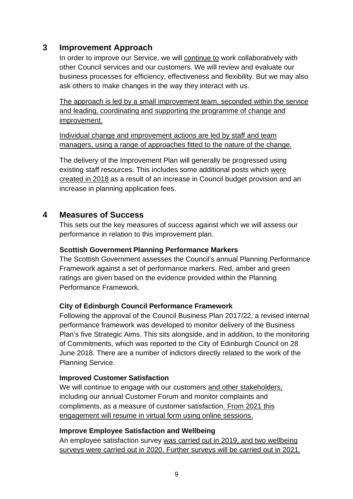### **3 Improvement Approach**

In order to improve our Service, we will continue to work collaboratively with other Council services and our customers. We will review and evaluate our business processes for efficiency, effectiveness and flexibility. But we may also ask others to make changes in the way they interact with us.

The approach is led by a small improvement team, seconded within the service and leading, coordinating and supporting the programme of change and improvement.

Individual change and improvement actions are led by staff and team managers, using a range of approaches fitted to the nature of the change.

The delivery of the Improvement Plan will generally be progressed using existing staff resources. This includes some additional posts which were created in 2018 as a result of an increase in Council budget provision and an increase in planning application fees.

### **4 Measures of Success**

This sets out the key measures of success against which we will assess our performance in relation to this improvement plan.

#### **Scottish Government Planning Performance Markers**

The Scottish Government assesses the Council's annual Planning Performance Framework against a set of performance markers. Red, amber and green ratings are given based on the evidence provided within the Planning Performance Framework.

#### **City of Edinburgh Council Performance Framework**

Following the approval of the Council Business Plan 2017/22, a revised internal performance framework was developed to monitor delivery of the Business Plan's five Strategic Aims. This sits alongside, and in addition, to the monitoring of Commitments, which was reported to the City of Edinburgh Council on 28 June 2018. There are a number of indictors directly related to the work of the Planning Service.

#### **Improved Customer Satisfaction**

We will continue to engage with our customers and other stakeholders, including our annual Customer Forum and monitor complaints and compliments, as a measure of customer satisfaction. From 2021 this engagement will resume in virtual form using online sessions.

#### **Improve Employee Satisfaction and Wellbeing**

An employee satisfaction survey was carried out in 2019, and two wellbeing surveys were carried out in 2020. Further surveys will be carried out in 2021.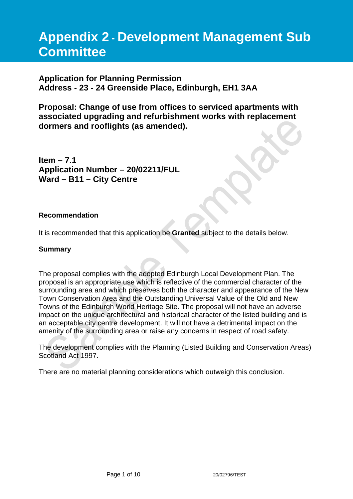# **Appendix 2 - Development Management Sub Committee**

### **Application for Planning Permission Address - 23 - 24 Greenside Place, Edinburgh, EH1 3AA**

**Proposal: Change of use from offices to serviced apartments with associated upgrading and refurbishment works with replacement dormers and rooflights (as amended).**

**Item – 7.1 Application Number – 20/02211/FUL Ward – B11 – City Centre**

#### **Recommendation**

It is recommended that this application be **Granted** subject to the details below.

#### **Summary**

The proposal complies with the adopted Edinburgh Local Development Plan. The proposal is an appropriate use which is reflective of the commercial character of the surrounding area and which preserves both the character and appearance of the New Town Conservation Area and the Outstanding Universal Value of the Old and New Towns of the Edinburgh World Heritage Site. The proposal will not have an adverse impact on the unique architectural and historical character of the listed building and is an acceptable city centre development. It will not have a detrimental impact on the amenity of the surrounding area or raise any concerns in respect of road safety.

The development complies with the Planning (Listed Building and Conservation Areas) Scotland Act 1997.

There are no material planning considerations which outweigh this conclusion.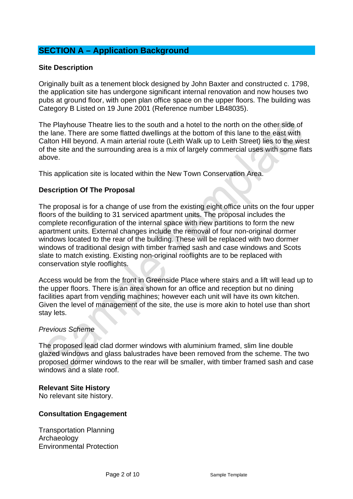### **SECTION A – Application Background**

#### **Site Description**

Originally built as a tenement block designed by John Baxter and constructed c. 1798, the application site has undergone significant internal renovation and now houses two pubs at ground floor, with open plan office space on the upper floors. The building was Category B Listed on 19 June 2001 (Reference number LB48035).

The Playhouse Theatre lies to the south and a hotel to the north on the other side of the lane. There are some flatted dwellings at the bottom of this lane to the east with Calton Hill beyond. A main arterial route (Leith Walk up to Leith Street) lies to the west of the site and the surrounding area is a mix of largely commercial uses with some flats above.

This application site is located within the New Town Conservation Area.

#### **Description Of The Proposal**

The proposal is for a change of use from the existing eight office units on the four upper floors of the building to 31 serviced apartment units. The proposal includes the complete reconfiguration of the internal space with new partitions to form the new apartment units. External changes include the removal of four non-original dormer windows located to the rear of the building. These will be replaced with two dormer windows of traditional design with timber framed sash and case windows and Scots slate to match existing. Existing non-original rooflights are to be replaced with conservation style rooflights.

Access would be from the front in Greenside Place where stairs and a lift will lead up to the upper floors. There is an area shown for an office and reception but no dining facilities apart from vending machines; however each unit will have its own kitchen. Given the level of management of the site, the use is more akin to hotel use than short stay lets.

#### *Previous Scheme*

The proposed lead clad dormer windows with aluminium framed, slim line double glazed windows and glass balustrades have been removed from the scheme. The two proposed dormer windows to the rear will be smaller, with timber framed sash and case windows and a slate roof.

#### **Relevant Site History**

No relevant site history.

#### **Consultation Engagement**

Transportation Planning Archaeology Environmental Protection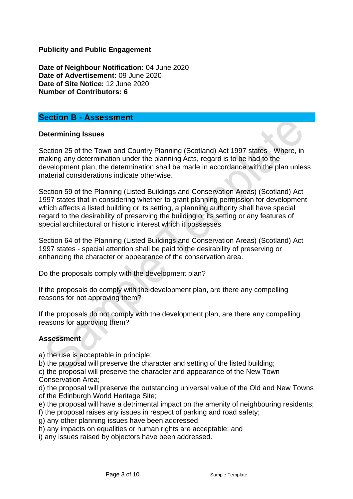**Publicity and Public Engagement**

**Date of Neighbour Notification:** 04 June 2020 **Date of Advertisement:** 09 June 2020 **Date of Site Notice:** 12 June 2020 **Number of Contributors: 6**

#### **Section B - Assessment**

#### **Determining Issues**

Section 25 of the Town and Country Planning (Scotland) Act 1997 states - Where, in making any determination under the planning Acts, regard is to be had to the development plan, the determination shall be made in accordance with the plan unless material considerations indicate otherwise.

Section 59 of the Planning (Listed Buildings and Conservation Areas) (Scotland) Act 1997 states that in considering whether to grant planning permission for development which affects a listed building or its setting, a planning authority shall have special regard to the desirability of preserving the building or its setting or any features of special architectural or historic interest which it possesses.

Section 64 of the Planning (Listed Buildings and Conservation Areas) (Scotland) Act 1997 states - special attention shall be paid to the desirability of preserving or enhancing the character or appearance of the conservation area.

Do the proposals comply with the development plan?

If the proposals do comply with the development plan, are there any compelling reasons for not approving them?

If the proposals do not comply with the development plan, are there any compelling reasons for approving them?

#### **Assessment**

a) the use is acceptable in principle;

b) the proposal will preserve the character and setting of the listed building;

c) the proposal will preserve the character and appearance of the New Town Conservation Area;

d) the proposal will preserve the outstanding universal value of the Old and New Towns of the Edinburgh World Heritage Site;

e) the proposal will have a detrimental impact on the amenity of neighbouring residents;

f) the proposal raises any issues in respect of parking and road safety;

g) any other planning issues have been addressed;

h) any impacts on equalities or human rights are acceptable; and

i) any issues raised by objectors have been addressed.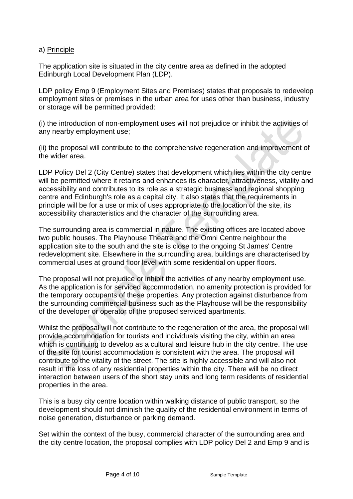#### a) Principle

The application site is situated in the city centre area as defined in the adopted Edinburgh Local Development Plan (LDP).

LDP policy Emp 9 (Employment Sites and Premises) states that proposals to redevelop employment sites or premises in the urban area for uses other than business, industry or storage will be permitted provided:

(i) the introduction of non-employment uses will not prejudice or inhibit the activities of any nearby employment use;

(ii) the proposal will contribute to the comprehensive regeneration and improvement of the wider area.

LDP Policy Del 2 (City Centre) states that development which lies within the city centre will be permitted where it retains and enhances its character, attractiveness, vitality and accessibility and contributes to its role as a strategic business and regional shopping centre and Edinburgh's role as a capital city. It also states that the requirements in principle will be for a use or mix of uses appropriate to the location of the site, its accessibility characteristics and the character of the surrounding area.

The surrounding area is commercial in nature. The existing offices are located above two public houses. The Playhouse Theatre and the Omni Centre neighbour the application site to the south and the site is close to the ongoing St James' Centre redevelopment site. Elsewhere in the surrounding area, buildings are characterised by commercial uses at ground floor level with some residential on upper floors.

The proposal will not prejudice or inhibit the activities of any nearby employment use. As the application is for serviced accommodation, no amenity protection is provided for the temporary occupants of these properties. Any protection against disturbance from the surrounding commercial business such as the Playhouse will be the responsibility of the developer or operator of the proposed serviced apartments.

Whilst the proposal will not contribute to the regeneration of the area, the proposal will provide accommodation for tourists and individuals visiting the city, within an area which is continuing to develop as a cultural and leisure hub in the city centre. The use of the site for tourist accommodation is consistent with the area. The proposal will contribute to the vitality of the street. The site is highly accessible and will also not result in the loss of any residential properties within the city. There will be no direct interaction between users of the short stay units and long term residents of residential properties in the area.

This is a busy city centre location within walking distance of public transport, so the development should not diminish the quality of the residential environment in terms of noise generation, disturbance or parking demand.

Set within the context of the busy, commercial character of the surrounding area and the city centre location, the proposal complies with LDP policy Del 2 and Emp 9 and is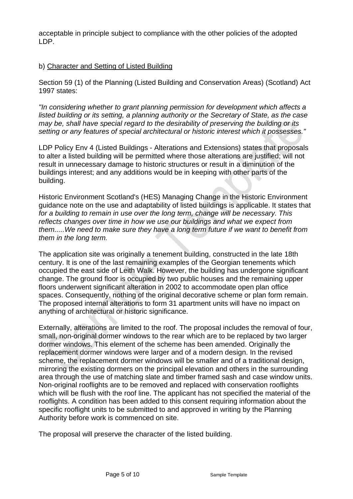acceptable in principle subject to compliance with the other policies of the adopted LDP.

#### b) Character and Setting of Listed Building

Section 59 (1) of the Planning (Listed Building and Conservation Areas) (Scotland) Act 1997 states:

*"In considering whether to grant planning permission for development which affects a listed building or its setting, a planning authority or the Secretary of State, as the case may be, shall have special regard to the desirability of preserving the building or its setting or any features of special architectural or historic interest which it possesses."*

LDP Policy Env 4 (Listed Buildings - Alterations and Extensions) states that proposals to alter a listed building will be permitted where those alterations are justified; will not result in unnecessary damage to historic structures or result in a diminution of the buildings interest; and any additions would be in keeping with other parts of the building.

Historic Environment Scotland's (HES) Managing Change in the Historic Environment guidance note on the use and adaptability of listed buildings is applicable. It states that *for a building to remain in use over the long term, change will be necessary. This reflects changes over time in how we use our buildings and what we expect from them.....We need to make sure they have a long term future if we want to benefit from them in the long term.*

The application site was originally a tenement building, constructed in the late 18th century. It is one of the last remaining examples of the Georgian tenements which occupied the east side of Leith Walk. However, the building has undergone significant change. The ground floor is occupied by two public houses and the remaining upper floors underwent significant alteration in 2002 to accommodate open plan office spaces. Consequently, nothing of the original decorative scheme or plan form remain. The proposed internal alterations to form 31 apartment units will have no impact on anything of architectural or historic significance.

Externally, alterations are limited to the roof. The proposal includes the removal of four, small, non-original dormer windows to the rear which are to be replaced by two larger dormer windows. This element of the scheme has been amended. Originally the replacement dormer windows were larger and of a modern design. In the revised scheme, the replacement dormer windows will be smaller and of a traditional design, mirroring the existing dormers on the principal elevation and others in the surrounding area through the use of matching slate and timber framed sash and case window units. Non-original rooflights are to be removed and replaced with conservation rooflights which will be flush with the roof line. The applicant has not specified the material of the rooflights. A condition has been added to this consent requiring information about the specific rooflight units to be submitted to and approved in writing by the Planning Authority before work is commenced on site.

The proposal will preserve the character of the listed building.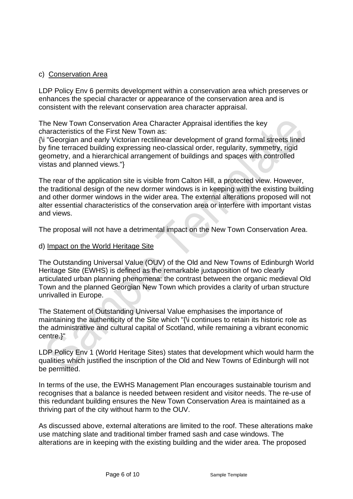#### c) Conservation Area

LDP Policy Env 6 permits development within a conservation area which preserves or enhances the special character or appearance of the conservation area and is consistent with the relevant conservation area character appraisal.

The New Town Conservation Area Character Appraisal identifies the key characteristics of the First New Town as:

{\i "Georgian and early Victorian rectilinear development of grand formal streets lined by fine terraced building expressing neo-classical order, regularity, symmetry, rigid geometry, and a hierarchical arrangement of buildings and spaces with controlled vistas and planned views."}

The rear of the application site is visible from Calton Hill, a protected view. However, the traditional design of the new dormer windows is in keeping with the existing building and other dormer windows in the wider area. The external alterations proposed will not alter essential characteristics of the conservation area or interfere with important vistas and views.

The proposal will not have a detrimental impact on the New Town Conservation Area.

#### d) Impact on the World Heritage Site

The Outstanding Universal Value (OUV) of the Old and New Towns of Edinburgh World Heritage Site (EWHS) is defined as the remarkable juxtaposition of two clearly articulated urban planning phenomena: the contrast between the organic medieval Old Town and the planned Georgian New Town which provides a clarity of urban structure unrivalled in Europe.

The Statement of Outstanding Universal Value emphasises the importance of maintaining the authenticity of the Site which "{\i continues to retain its historic role as the administrative and cultural capital of Scotland, while remaining a vibrant economic centre.}"

LDP Policy Env 1 (World Heritage Sites) states that development which would harm the qualities which justified the inscription of the Old and New Towns of Edinburgh will not be permitted.

In terms of the use, the EWHS Management Plan encourages sustainable tourism and recognises that a balance is needed between resident and visitor needs. The re-use of this redundant building ensures the New Town Conservation Area is maintained as a thriving part of the city without harm to the OUV.

As discussed above, external alterations are limited to the roof. These alterations make use matching slate and traditional timber framed sash and case windows. The alterations are in keeping with the existing building and the wider area. The proposed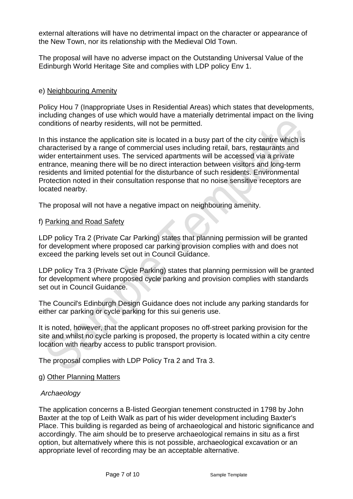external alterations will have no detrimental impact on the character or appearance of the New Town, nor its relationship with the Medieval Old Town.

The proposal will have no adverse impact on the Outstanding Universal Value of the Edinburgh World Heritage Site and complies with LDP policy Env 1.

#### e) Neighbouring Amenity

Policy Hou 7 (Inappropriate Uses in Residential Areas) which states that developments, including changes of use which would have a materially detrimental impact on the living conditions of nearby residents, will not be permitted.

In this instance the application site is located in a busy part of the city centre which is characterised by a range of commercial uses including retail, bars, restaurants and wider entertainment uses. The serviced apartments will be accessed via a private entrance, meaning there will be no direct interaction between visitors and long-term residents and limited potential for the disturbance of such residents. Environmental Protection noted in their consultation response that no noise sensitive receptors are located nearby.

The proposal will not have a negative impact on neighbouring amenity.

#### f) Parking and Road Safety

LDP policy Tra 2 (Private Car Parking) states that planning permission will be granted for development where proposed car parking provision complies with and does not exceed the parking levels set out in Council Guidance.

LDP policy Tra 3 (Private Cycle Parking) states that planning permission will be granted for development where proposed cycle parking and provision complies with standards set out in Council Guidance.

The Council's Edinburgh Design Guidance does not include any parking standards for either car parking or cycle parking for this sui generis use.

It is noted, however, that the applicant proposes no off-street parking provision for the site and whilst no cycle parking is proposed, the property is located within a city centre location with nearby access to public transport provision.

The proposal complies with LDP Policy Tra 2 and Tra 3.

g) Other Planning Matters

#### *Archaeology*

The application concerns a B-listed Georgian tenement constructed in 1798 by John Baxter at the top of Leith Walk as part of his wider development including Baxter's Place. This building is regarded as being of archaeological and historic significance and accordingly. The aim should be to preserve archaeological remains in situ as a first option, but alternatively where this is not possible, archaeological excavation or an appropriate level of recording may be an acceptable alternative.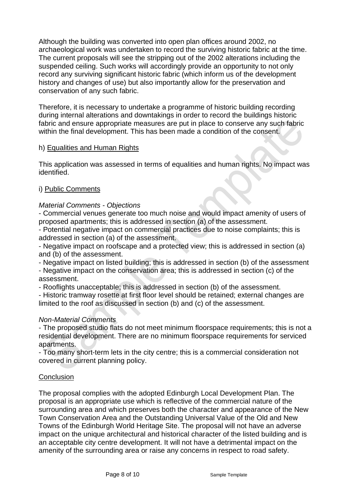Although the building was converted into open plan offices around 2002, no archaeological work was undertaken to record the surviving historic fabric at the time. The current proposals will see the stripping out of the 2002 alterations including the suspended ceiling. Such works will accordingly provide an opportunity to not only record any surviving significant historic fabric (which inform us of the development history and changes of use) but also importantly allow for the preservation and conservation of any such fabric.

Therefore, it is necessary to undertake a programme of historic building recording during internal alterations and downtakings in order to record the buildings historic fabric and ensure appropriate measures are put in place to conserve any such fabric within the final development. This has been made a condition of the consent.

#### h) Equalities and Human Rights

This application was assessed in terms of equalities and human rights. No impact was identified.

#### i) Public Comments

#### *Material Comments - Objections*

- Commercial venues generate too much noise and would impact amenity of users of proposed apartments; this is addressed in section (a) of the assessment.

- Potential negative impact on commercial practices due to noise complaints; this is addressed in section (a) of the assessment.

- Negative impact on roofscape and a protected view; this is addressed in section (a) and (b) of the assessment.

- Negative impact on listed building; this is addressed in section (b) of the assessment - Negative impact on the conservation area; this is addressed in section (c) of the assessment.

- Rooflights unacceptable; this is addressed in section (b) of the assessment.

- Historic tramway rosette at first floor level should be retained; external changes are limited to the roof as discussed in section (b) and (c) of the assessment.

#### *Non-Material Comments*

- The proposed studio flats do not meet minimum floorspace requirements; this is not a residential development. There are no minimum floorspace requirements for serviced apartments.

- Too many short-term lets in the city centre; this is a commercial consideration not covered in current planning policy.

#### **Conclusion**

The proposal complies with the adopted Edinburgh Local Development Plan. The proposal is an appropriate use which is reflective of the commercial nature of the surrounding area and which preserves both the character and appearance of the New Town Conservation Area and the Outstanding Universal Value of the Old and New Towns of the Edinburgh World Heritage Site. The proposal will not have an adverse impact on the unique architectural and historical character of the listed building and is an acceptable city centre development. It will not have a detrimental impact on the amenity of the surrounding area or raise any concerns in respect to road safety.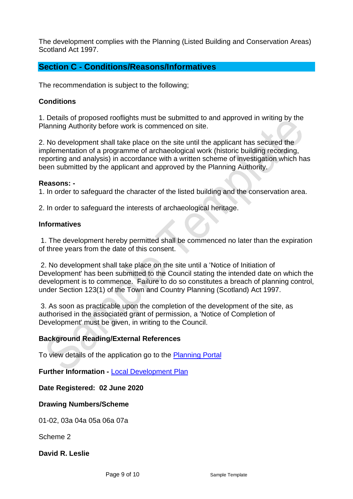The development complies with the Planning (Listed Building and Conservation Areas) Scotland Act 1997.

### **Section C - Conditions/Reasons/Informatives**

The recommendation is subject to the following;

#### **Conditions**

1. Details of proposed rooflights must be submitted to and approved in writing by the Planning Authority before work is commenced on site.

2. No development shall take place on the site until the applicant has secured the implementation of a programme of archaeological work (historic building recording, reporting and analysis) in accordance with a written scheme of investigation which has been submitted by the applicant and approved by the Planning Authority.

#### **Reasons: -**

1. In order to safeguard the character of the listed building and the conservation area.

2. In order to safeguard the interests of archaeological heritage.

#### **Informatives**

1. The development hereby permitted shall be commenced no later than the expiration of three years from the date of this consent.

2. No development shall take place on the site until a 'Notice of Initiation of Development' has been submitted to the Council stating the intended date on which the development is to commence. Failure to do so constitutes a breach of planning control, under Section 123(1) of the Town and Country Planning (Scotland) Act 1997.

3. As soon as practicable upon the completion of the development of the site, as authorised in the associated grant of permission, a 'Notice of Completion of Development' must be given, in writing to the Council.

#### **Background Reading/External References**

To view details of the application go to the [Planning Portal](https://citydev-portal.edinburgh.gov.uk/idoxpa-web/simpleSearchResults.do?action=firstPage)

**Further Information -** [Local Development Plan](https://www.edinburgh.gov.uk/local-development-plan-guidance-1/edinburgh-local-development-plan/1)

**Date Registered: 02 June 2020**

**Drawing Numbers/Scheme**

01-02, 03a 04a 05a 06a 07a

Scheme 2

**David R. Leslie**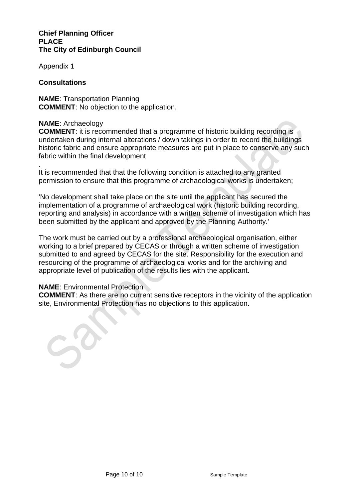#### **Chief Planning Officer PLACE The City of Edinburgh Council**

Appendix 1

#### **Consultations**

**NAME**: Transportation Planning **COMMENT**: No objection to the application.

#### **NAME**: Archaeology

**COMMENT:** it is recommended that a programme of historic building recording is undertaken during internal alterations / down takings in order to record the buildings historic fabric and ensure appropriate measures are put in place to conserve any such fabric within the final development

. It is recommended that that the following condition is attached to any granted permission to ensure that this programme of archaeological works is undertaken;

'No development shall take place on the site until the applicant has secured the implementation of a programme of archaeological work (historic building recording, reporting and analysis) in accordance with a written scheme of investigation which has been submitted by the applicant and approved by the Planning Authority.'

The work must be carried out by a professional archaeological organisation, either working to a brief prepared by CECAS or through a written scheme of investigation submitted to and agreed by CECAS for the site. Responsibility for the execution and resourcing of the programme of archaeological works and for the archiving and appropriate level of publication of the results lies with the applicant.

#### **NAME**: Environmental Protection

**COMMENT**: As there are no current sensitive receptors in the vicinity of the application site, Environmental Protection has no objections to this application.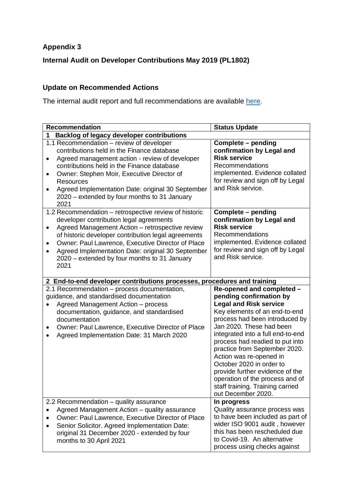### **Appendix 3**

**Internal Audit on Developer Contributions May 2019 (PL1802)**

### **Update on Recommended Actions**

The internal audit report and full recommendations are available [here.](https://democracy.edinburgh.gov.uk/Data/Planning%20Committee/20190515/Agenda/$item_91_-_internal_audit_quarterly_update_report_26_november_2018_to_29_march_2019_-_referral_from_the_governance_risk_and_be.xls.pdf)

| <b>Recommendation</b>                                                                                                                                                                                                                                                                                                                                                                                | <b>Status Update</b>                                                                                                                                                                                                                                                                                                                                                                                                                                                                 |  |  |  |
|------------------------------------------------------------------------------------------------------------------------------------------------------------------------------------------------------------------------------------------------------------------------------------------------------------------------------------------------------------------------------------------------------|--------------------------------------------------------------------------------------------------------------------------------------------------------------------------------------------------------------------------------------------------------------------------------------------------------------------------------------------------------------------------------------------------------------------------------------------------------------------------------------|--|--|--|
| <b>Backlog of legacy developer contributions</b><br>1                                                                                                                                                                                                                                                                                                                                                |                                                                                                                                                                                                                                                                                                                                                                                                                                                                                      |  |  |  |
| 1.1 Recommendation - review of developer<br>contributions held in the Finance database<br>Agreed management action - review of developer<br>$\bullet$<br>contributions held in the Finance database<br>Owner: Stephen Moir, Executive Director of<br>$\bullet$<br><b>Resources</b><br>Agreed Implementation Date: original 30 September<br>٠<br>2020 – extended by four months to 31 January<br>2021 | Complete - pending<br>confirmation by Legal and<br><b>Risk service</b><br>Recommendations<br>implemented. Evidence collated<br>for review and sign off by Legal<br>and Risk service.                                                                                                                                                                                                                                                                                                 |  |  |  |
| 1.2 Recommendation – retrospective review of historic<br>developer contribution legal agreements<br>Agreed Management Action - retrospective review<br>$\bullet$<br>of historic developer contribution legal agreements<br>Owner: Paul Lawrence, Executive Director of Place<br>٠<br>Agreed Implementation Date: original 30 September<br>2020 – extended by four months to 31 January<br>2021       | Complete - pending<br>confirmation by Legal and<br><b>Risk service</b><br>Recommendations<br>implemented. Evidence collated<br>for review and sign off by Legal<br>and Risk service.                                                                                                                                                                                                                                                                                                 |  |  |  |
| 2 End-to-end developer contributions processes, procedures and training                                                                                                                                                                                                                                                                                                                              |                                                                                                                                                                                                                                                                                                                                                                                                                                                                                      |  |  |  |
| 2.1 Recommendation - process documentation,<br>guidance, and standardised documentation<br>Agreed Management Action - process<br>documentation, guidance, and standardised<br>documentation<br>Owner: Paul Lawrence, Executive Director of Place<br>Agreed Implementation Date: 31 March 2020                                                                                                        | Re-opened and completed -<br>pending confirmation by<br><b>Legal and Risk service</b><br>Key elements of an end-to-end<br>process had been introduced by<br>Jan 2020. These had been<br>integrated into a full end-to-end<br>process had readied to put into<br>practice from September 2020.<br>Action was re-opened in<br>October 2020 in order to<br>provide further evidence of the<br>operation of the process and of<br>staff training. Training carried<br>out December 2020. |  |  |  |
| 2.2 Recommendation - quality assurance<br>Agreed Management Action - quality assurance<br>Owner: Paul Lawrence, Executive Director of Place<br>Senior Solicitor. Agreed Implementation Date:<br>original 31 December 2020 - extended by four<br>months to 30 April 2021                                                                                                                              | In progress<br>Quality assurance process was<br>to have been included as part of<br>wider ISO 9001 audit, however<br>this has been rescheduled due<br>to Covid-19. An alternative<br>process using checks against                                                                                                                                                                                                                                                                    |  |  |  |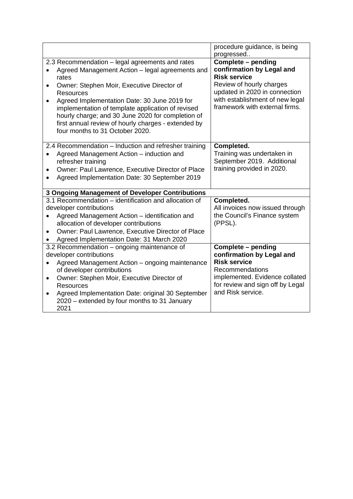|                                                                                                                                                                                                                                                                                                                                                                                                                                                      | procedure guidance, is being                                                                                                                                                                             |
|------------------------------------------------------------------------------------------------------------------------------------------------------------------------------------------------------------------------------------------------------------------------------------------------------------------------------------------------------------------------------------------------------------------------------------------------------|----------------------------------------------------------------------------------------------------------------------------------------------------------------------------------------------------------|
|                                                                                                                                                                                                                                                                                                                                                                                                                                                      | progressed                                                                                                                                                                                               |
| 2.3 Recommendation - legal agreements and rates<br>Agreed Management Action - legal agreements and<br>rates<br>Owner: Stephen Moir, Executive Director of<br>$\bullet$<br>Resources<br>Agreed Implementation Date: 30 June 2019 for<br>$\bullet$<br>implementation of template application of revised<br>hourly charge; and 30 June 2020 for completion of<br>first annual review of hourly charges - extended by<br>four months to 31 October 2020. | Complete - pending<br>confirmation by Legal and<br><b>Risk service</b><br>Review of hourly charges<br>updated in 2020 in connection<br>with establishment of new legal<br>framework with external firms. |
| 2.4 Recommendation - Induction and refresher training<br>Agreed Management Action - induction and<br>refresher training<br>Owner: Paul Lawrence, Executive Director of Place<br>$\bullet$<br>Agreed Implementation Date: 30 September 2019                                                                                                                                                                                                           | Completed.<br>Training was undertaken in<br>September 2019. Additional<br>training provided in 2020.                                                                                                     |
| <b>3 Ongoing Management of Developer Contributions</b>                                                                                                                                                                                                                                                                                                                                                                                               |                                                                                                                                                                                                          |
| 3.1 Recommendation – identification and allocation of<br>developer contributions<br>Agreed Management Action – identification and<br>$\bullet$<br>allocation of developer contributions<br>Owner: Paul Lawrence, Executive Director of Place<br>Agreed Implementation Date: 31 March 2020                                                                                                                                                            | Completed.<br>All invoices now issued through<br>the Council's Finance system<br>(PPSL).                                                                                                                 |
| 3.2 Recommendation – ongoing maintenance of                                                                                                                                                                                                                                                                                                                                                                                                          | Complete - pending                                                                                                                                                                                       |
| developer contributions                                                                                                                                                                                                                                                                                                                                                                                                                              | confirmation by Legal and                                                                                                                                                                                |
| Agreed Management Action - ongoing maintenance<br>of developer contributions<br>Owner: Stephen Moir, Executive Director of<br>$\bullet$<br><b>Resources</b><br>Agreed Implementation Date: original 30 September<br>$\bullet$<br>2020 – extended by four months to 31 January<br>2021                                                                                                                                                                | <b>Risk service</b><br>Recommendations<br>implemented. Evidence collated<br>for review and sign off by Legal<br>and Risk service.                                                                        |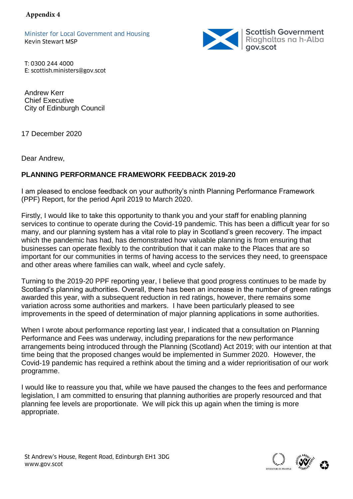Minister for Local Government and Housing Kevin Stewart MSP



T: 0300 244 4000 E: scottish.ministers@gov.scot

Andrew Kerr Chief Executive City of Edinburgh Council

17 December 2020

Dear Andrew,

### **PLANNING PERFORMANCE FRAMEWORK FEEDBACK 2019-20**

I am pleased to enclose feedback on your authority's ninth Planning Performance Framework (PPF) Report, for the period April 2019 to March 2020.

Firstly, I would like to take this opportunity to thank you and your staff for enabling planning services to continue to operate during the Covid-19 pandemic. This has been a difficult year for so many, and our planning system has a vital role to play in Scotland's green recovery. The impact which the pandemic has had, has demonstrated how valuable planning is from ensuring that businesses can operate flexibly to the contribution that it can make to the Places that are so important for our communities in terms of having access to the services they need, to greenspace and other areas where families can walk, wheel and cycle safely.

Turning to the 2019-20 PPF reporting year, I believe that good progress continues to be made by Scotland's planning authorities. Overall, there has been an increase in the number of green ratings awarded this year, with a subsequent reduction in red ratings, however, there remains some variation across some authorities and markers. I have been particularly pleased to see improvements in the speed of determination of major planning applications in some authorities.

When I wrote about performance reporting last year, I indicated that a consultation on Planning Performance and Fees was underway, including preparations for the new performance arrangements being introduced through the Planning (Scotland) Act 2019; with our intention at that time being that the proposed changes would be implemented in Summer 2020. However, the Covid-19 pandemic has required a rethink about the timing and a wider reprioritisation of our work programme.

I would like to reassure you that, while we have paused the changes to the fees and performance legislation, I am committed to ensuring that planning authorities are properly resourced and that planning fee levels are proportionate. We will pick this up again when the timing is more appropriate.

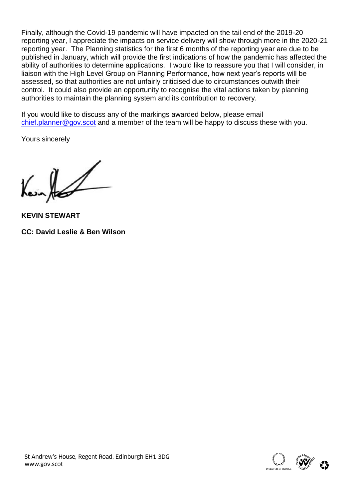Finally, although the Covid-19 pandemic will have impacted on the tail end of the 2019-20 reporting year, I appreciate the impacts on service delivery will show through more in the 2020-21 reporting year. The Planning statistics for the first 6 months of the reporting year are due to be published in January, which will provide the first indications of how the pandemic has affected the ability of authorities to determine applications. I would like to reassure you that I will consider, in liaison with the High Level Group on Planning Performance, how next year's reports will be assessed, so that authorities are not unfairly criticised due to circumstances outwith their control. It could also provide an opportunity to recognise the vital actions taken by planning authorities to maintain the planning system and its contribution to recovery.

If you would like to discuss any of the markings awarded below, please email [chief.planner@gov.scot](mailto:chief.planner@gov.scot) and a member of the team will be happy to discuss these with you.

Yours sincerely

 $\mathcal{U}$ 

**KEVIN STEWART CC: David Leslie & Ben Wilson**



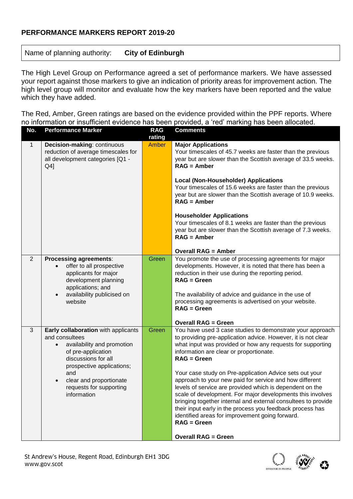#### **PERFORMANCE MARKERS REPORT 2019-20**

Name of planning authority: **City of Edinburgh**

The High Level Group on Performance agreed a set of performance markers. We have assessed your report against those markers to give an indication of priority areas for improvement action. The high level group will monitor and evaluate how the key markers have been reported and the value which they have added.

The Red, Amber, Green ratings are based on the evidence provided within the PPF reports. Where no information or insufficient evidence has been provided, a 'red' marking has been allocated.

| No.            | <b>Performance Marker</b>                                                                                                                                                                                                                              | <b>RAG</b><br>rating | <b>Comments</b>                                                                                                                                                                                                                                                                                                                                                                                                                                                                                                                                                                                                                                                                                                                      |
|----------------|--------------------------------------------------------------------------------------------------------------------------------------------------------------------------------------------------------------------------------------------------------|----------------------|--------------------------------------------------------------------------------------------------------------------------------------------------------------------------------------------------------------------------------------------------------------------------------------------------------------------------------------------------------------------------------------------------------------------------------------------------------------------------------------------------------------------------------------------------------------------------------------------------------------------------------------------------------------------------------------------------------------------------------------|
| $\mathbf{1}$   | Decision-making: continuous<br>reduction of average timescales for<br>all development categories [Q1 -<br>$Q4$ ]                                                                                                                                       | <b>Amber</b>         | <b>Major Applications</b><br>Your timescales of 45.7 weeks are faster than the previous<br>year but are slower than the Scottish average of 33.5 weeks.<br>$RAG =$ Amber<br><b>Local (Non-Householder) Applications</b><br>Your timescales of 15.6 weeks are faster than the previous<br>year but are slower than the Scottish average of 10.9 weeks.<br>$RAG =$ Amber<br><b>Householder Applications</b><br>Your timescales of 8.1 weeks are faster than the previous<br>year but are slower than the Scottish average of 7.3 weeks.<br>$RAG =$ Amber<br><b>Overall RAG = Amber</b>                                                                                                                                                 |
| $\overline{2}$ | <b>Processing agreements:</b><br>offer to all prospective<br>applicants for major<br>development planning<br>applications; and<br>availability publicised on<br>$\bullet$<br>website                                                                   | Green                | You promote the use of processing agreements for major<br>developments. However, it is noted that there has been a<br>reduction in their use during the reporting period.<br>$RAG = Green$<br>The availability of advice and guidance in the use of<br>processing agreements is advertised on your website.<br>$RAG = Green$<br><b>Overall RAG = Green</b>                                                                                                                                                                                                                                                                                                                                                                           |
| 3              | Early collaboration with applicants<br>and consultees<br>availability and promotion<br>$\bullet$<br>of pre-application<br>discussions for all<br>prospective applications;<br>and<br>clear and proportionate<br>requests for supporting<br>information | Green                | You have used 3 case studies to demonstrate your approach<br>to providing pre-application advice. However, it is not clear<br>what input was provided or how any requests for supporting<br>information are clear or proportionate.<br>$RAG = Green$<br>Your case study on Pre-application Advice sets out your<br>approach to your new paid for service and how different<br>levels of service are provided which is dependent on the<br>scale of development. For major developments this involves<br>bringing together internal and external consultees to provide<br>their input early in the process you feedback process has<br>identified areas for improvement going forward.<br>$RAG = Green$<br><b>Overall RAG = Green</b> |

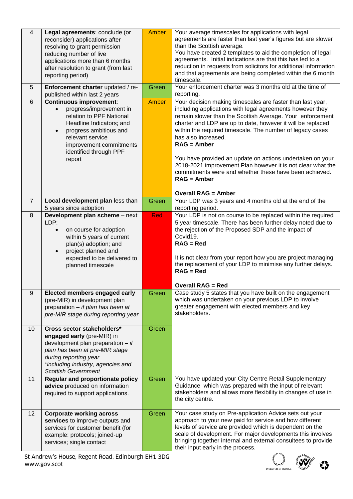| $\overline{4}$ | Legal agreements: conclude (or<br>reconsider) applications after<br>resolving to grant permission<br>reducing number of live<br>applications more than 6 months<br>after resolution to grant (from last<br>reporting period)                             | <b>Amber</b> | Your average timescales for applications with legal<br>agreements are faster than last year's figures but are slower<br>than the Scottish average.<br>You have created 2 templates to aid the completion of legal<br>agreements. Initial indications are that this has led to a<br>reduction in requests from solicitors for additional information<br>and that agreements are being completed within the 6 month<br>timescale.                                                                                                                                                               |
|----------------|----------------------------------------------------------------------------------------------------------------------------------------------------------------------------------------------------------------------------------------------------------|--------------|-----------------------------------------------------------------------------------------------------------------------------------------------------------------------------------------------------------------------------------------------------------------------------------------------------------------------------------------------------------------------------------------------------------------------------------------------------------------------------------------------------------------------------------------------------------------------------------------------|
| 5              | Enforcement charter updated / re-<br>published within last 2 years                                                                                                                                                                                       | Green        | Your enforcement charter was 3 months old at the time of<br>reporting.                                                                                                                                                                                                                                                                                                                                                                                                                                                                                                                        |
| 6              | <b>Continuous improvement:</b><br>progress/improvement in<br>$\bullet$<br>relation to PPF National<br>Headline Indicators; and<br>progress ambitious and<br>$\bullet$<br>relevant service<br>improvement commitments<br>identified through PPF<br>report | <b>Amber</b> | Your decision making timescales are faster than last year,<br>including applications with legal agreements however they<br>remain slower than the Scottish Average. Your enforcement<br>charter and LDP are up to date, however it will be replaced<br>within the required timescale. The number of legacy cases<br>has also increased.<br>$RAG =$ Amber<br>You have provided an update on actions undertaken on your<br>2018-2021 improvement Plan however it is not clear what the<br>commitments were and whether these have been achieved.<br>$RAG =$ Amber<br><b>Overall RAG = Amber</b> |
| $\overline{7}$ | Local development plan less than<br>5 years since adoption                                                                                                                                                                                               | Green        | Your LDP was 3 years and 4 months old at the end of the<br>reporting period.                                                                                                                                                                                                                                                                                                                                                                                                                                                                                                                  |
| 8              | Development plan scheme - next<br>LDP:<br>on course for adoption<br>$\bullet$<br>within 5 years of current<br>plan(s) adoption; and<br>project planned and<br>expected to be delivered to<br>planned timescale                                           | Red          | Your LDP is not on course to be replaced within the required<br>5 year timescale. There has been further delay noted due to<br>the rejection of the Proposed SDP and the impact of<br>Covid19.<br>$RAG = Red$<br>It is not clear from your report how you are project managing<br>the replacement of your LDP to minimise any further delays.<br>$RAG = Red$<br><b>Overall RAG = Red</b>                                                                                                                                                                                                      |
| 9              | Elected members engaged early<br>(pre-MIR) in development plan<br>preparation - if plan has been at<br>pre-MIR stage during reporting year                                                                                                               | Green        | Case study 5 states that you have built on the engagement<br>which was undertaken on your previous LDP to involve<br>greater engagement with elected members and key<br>stakeholders.                                                                                                                                                                                                                                                                                                                                                                                                         |
| 10             | Cross sector stakeholders*<br>engaged early (pre-MIR) in<br>development plan preparation $-$ if<br>plan has been at pre-MIR stage<br>during reporting year<br>*including industry, agencies and<br><b>Scottish Government</b>                            | Green        |                                                                                                                                                                                                                                                                                                                                                                                                                                                                                                                                                                                               |
| 11             | <b>Regular and proportionate policy</b><br>advice produced on information<br>required to support applications.                                                                                                                                           | Green        | You have updated your City Centre Retail Supplementary<br>Guidance which was prepared with the input of relevant<br>stakeholders and allows more flexibility in changes of use in<br>the city centre.                                                                                                                                                                                                                                                                                                                                                                                         |
| 12             | <b>Corporate working across</b><br>services to improve outputs and<br>services for customer benefit (for<br>example: protocols; joined-up<br>services; single contact                                                                                    | Green        | Your case study on Pre-application Advice sets out your<br>approach to your new paid for service and how different<br>levels of service are provided which is dependent on the<br>scale of development. For major developments this involves<br>bringing together internal and external consultees to provide<br>their input early in the process.                                                                                                                                                                                                                                            |

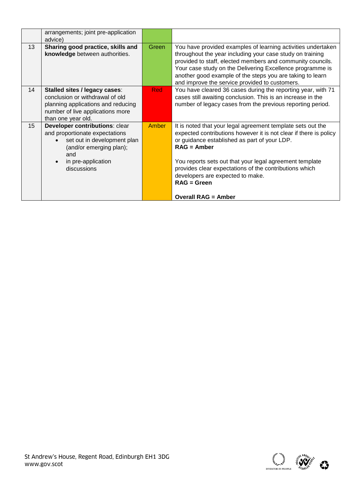| Green                       | You have provided examples of learning activities undertaken<br>throughout the year including your case study on training<br>provided to staff, elected members and community councils.<br>Your case study on the Delivering Excellence programme is<br>another good example of the steps you are taking to learn<br>and improve the service provided to customers.                                       |
|-----------------------------|-----------------------------------------------------------------------------------------------------------------------------------------------------------------------------------------------------------------------------------------------------------------------------------------------------------------------------------------------------------------------------------------------------------|
| <b>Red</b>                  | You have cleared 36 cases during the reporting year, with 71<br>cases still awaiting conclusion. This is an increase in the<br>number of legacy cases from the previous reporting period.                                                                                                                                                                                                                 |
| <b>Amber</b>                | It is noted that your legal agreement template sets out the<br>expected contributions however it is not clear if there is policy<br>or guidance established as part of your LDP.<br>$RAG =$ Amber<br>You reports sets out that your legal agreement template<br>provides clear expectations of the contributions which<br>developers are expected to make.<br>$RAG = Green$<br><b>Overall RAG = Amber</b> |
| set out in development plan |                                                                                                                                                                                                                                                                                                                                                                                                           |